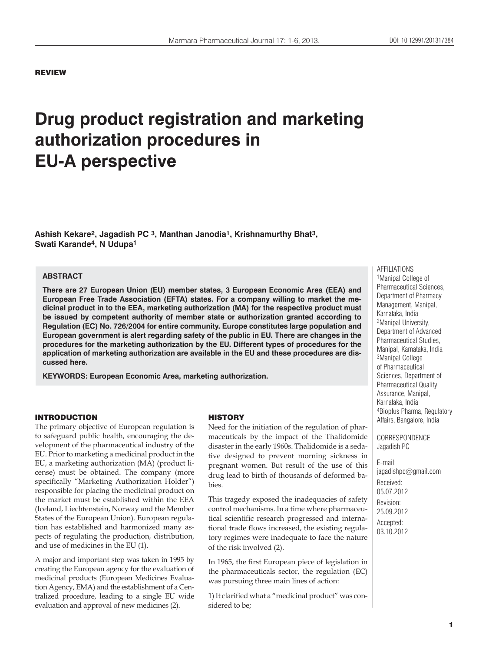### REVIEW

# **Drug product registration and marketing authorization procedures in EU-A perspective**

**Ashish Kekare2, Jagadish PC 3, Manthan Janodia1, Krishnamurthy Bhat3, Swati Karande4, N Udupa1**

### **ABSTRACT**

**There are 27 European Union (EU) member states, 3 European Economic Area (EEA) and European Free Trade Association (EFTA) states. For a company willing to market the medicinal product in to the EEA, marketing authorization (MA) for the respective product must be issued by competent authority of member state or authorization granted according to Regulation (EC) No. 726/2004 for entire community. Europe constitutes large population and European government is alert regarding safety of the public in EU. There are changes in the procedures for the marketing authorization by the EU. Different types of procedures for the application of marketing authorization are available in the EU and these procedures are discussed here.**

**KEYWORDS: European Economic Area, marketing authorization.**

#### INTRODUCTION

The primary objective of European regulation is to safeguard public health, encouraging the development of the pharmaceutical industry of the EU. Prior to marketing a medicinal product in the EU, a marketing authorization (MA) (product license) must be obtained. The company (more specifically "Marketing Authorization Holder") responsible for placing the medicinal product on the market must be established within the EEA (Iceland, Liechtenstein, Norway and the Member States of the European Union). European regulation has established and harmonized many aspects of regulating the production, distribution, and use of medicines in the EU (1).

A major and important step was taken in 1995 by creating the European agency for the evaluation of medicinal products (European Medicines Evaluation Agency, EMA) and the establishment of a Centralized procedure, leading to a single EU wide evaluation and approval of new medicines (2).

### **HISTORY**

Need for the initiation of the regulation of pharmaceuticals by the impact of the Thalidomide disaster in the early 1960s. Thalidomide is a sedative designed to prevent morning sickness in pregnant women. But result of the use of this drug lead to birth of thousands of deformed babies.

This tragedy exposed the inadequacies of safety control mechanisms. In a time where pharmaceutical scientific research progressed and international trade flows increased, the existing regulatory regimes were inadequate to face the nature of the risk involved (2).

In 1965, the first European piece of legislation in the pharmaceuticals sector, the regulation (EC) was pursuing three main lines of action:

1) It clarified what a "medicinal product" was considered to be;

AFFILIATIONS 1Manipal College of Pharmaceutical Sciences, Department of Pharmacy Management, Manipal, Karnataka, India 2Manipal University, Department of Advanced Pharmaceutical Studies, Manipal, Karnataka, India 3Manipal College of Pharmaceutical Sciences, Department of Pharmaceutical Quality Assurance, Manipal, Karnataka, India 4Bioplus Pharma, Regulatory Affairs, Bangalore, India

CORRESPONDENCE Jagadish PC

E-mail: jagadishpc@gmail.com Received: 05.07.2012 Revision: 25.09.2012 Accepted: 03.10.2012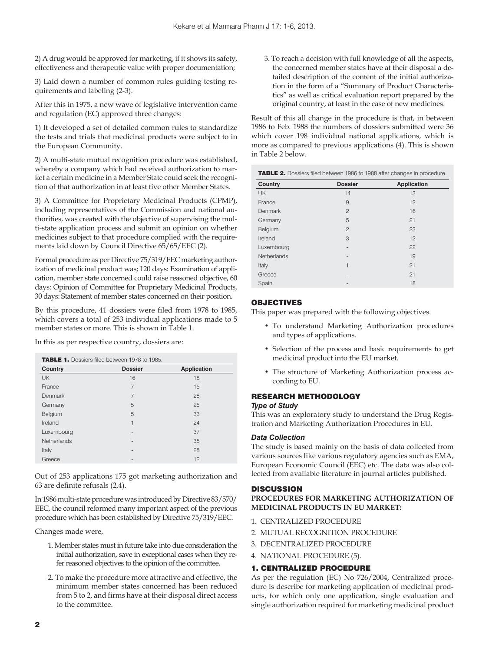2) A drug would be approved for marketing, if it shows its safety, effectiveness and therapeutic value with proper documentation;

3) Laid down a number of common rules guiding testing requirements and labeling (2-3).

After this in 1975, a new wave of legislative intervention came and regulation (EC) approved three changes:

1) It developed a set of detailed common rules to standardize the tests and trials that medicinal products were subject to in the European Community.

2) A multi-state mutual recognition procedure was established, whereby a company which had received authorization to market a certain medicine in a Member State could seek the recognition of that authorization in at least five other Member States.

3) A Committee for Proprietary Medicinal Products (CPMP), including representatives of the Commission and national authorities, was created with the objective of supervising the multi-state application process and submit an opinion on whether medicines subject to that procedure complied with the requirements laid down by Council Directive 65/65/EEC (2).

Formal procedure as per Directive 75/319/EEC marketing authorization of medicinal product was; 120 days: Examination of application, member state concerned could raise reasoned objective, 60 days: Opinion of Committee for Proprietary Medicinal Products, 30 days: Statement of member states concerned on their position.

By this procedure, 41 dossiers were filed from 1978 to 1985, which covers a total of 253 individual applications made to 5 member states or more. This is shown in Table 1.

In this as per respective country, dossiers are:

|             | <b>TABLE 1.</b> Dossiers filed between 1978 to 1985. |                    |  |
|-------------|------------------------------------------------------|--------------------|--|
| Country     | <b>Dossier</b>                                       | <b>Application</b> |  |
| <b>UK</b>   | 16                                                   | 18                 |  |
| France      | $\overline{7}$                                       | 15                 |  |
| Denmark     | $\overline{7}$                                       | 28                 |  |
| Germany     | 5                                                    | 25                 |  |
| Belgium     | 5                                                    | 33                 |  |
| Ireland     | 1                                                    | 24                 |  |
| Luxembourg  |                                                      | 37                 |  |
| Netherlands |                                                      | 35                 |  |
| Italy       | $\sim$                                               | 28                 |  |
| Greece      |                                                      | 12                 |  |

Out of 253 applications 175 got marketing authorization and 63 are definite refusals (2,4).

In 1986 multi-state procedure was introduced by Directive 83/570/ EEC, the council reformed many important aspect of the previous procedure which has been established by Directive 75/319/EEC.

Changes made were,

- 1. Member states must in future take into due consideration the initial authorization, save in exceptional cases when they refer reasoned objectives to the opinion of the committee.
- 2. To make the procedure more attractive and effective, the minimum member states concerned has been reduced from 5 to 2, and firms have at their disposal direct access to the committee.

3. To reach a decision with full knowledge of all the aspects, the concerned member states have at their disposal a detailed description of the content of the initial authorization in the form of a "Summary of Product Characteristics" as well as critical evaluation report prepared by the original country, at least in the case of new medicines.

Result of this all change in the procedure is that, in between 1986 to Feb. 1988 the numbers of dossiers submitted were 36 which cover 198 individual national applications, which is more as compared to previous applications (4). This is shown in Table 2 below.

| <b>TABLE 2.</b> Dossiers filed between 1986 to 1988 after changes in procedure. |                |                    |  |
|---------------------------------------------------------------------------------|----------------|--------------------|--|
| Country                                                                         | <b>Dossier</b> | <b>Application</b> |  |
| UK                                                                              | 14             | 13                 |  |
| France                                                                          | 9              | 12                 |  |
| Denmark                                                                         | $\overline{c}$ | 16                 |  |
| Germany                                                                         | 5              | 21                 |  |
| Belgium                                                                         | $\overline{c}$ | 23                 |  |
| Ireland                                                                         | 3              | 12                 |  |
| Luxembourg                                                                      | $\overline{a}$ | 22                 |  |
| Netherlands                                                                     |                | 19                 |  |
| Italy                                                                           | 1              | 21                 |  |
| Greece                                                                          | $\blacksquare$ | 21                 |  |
| Spain                                                                           | $\blacksquare$ | 18                 |  |

### OBJECTIVES

This paper was prepared with the following objectives.

- To understand Marketing Authorization procedures and types of applications.
- Selection of the process and basic requirements to get medicinal product into the EU market.
- The structure of Marketing Authorization process according to EU.

### RESEARCH METHODOLOGY

### *Type of Study*

This was an exploratory study to understand the Drug Registration and Marketing Authorization Procedures in EU.

### *Data Collection*

The study is based mainly on the basis of data collected from various sources like various regulatory agencies such as EMA, European Economic Council (EEC) etc. The data was also collected from available literature in journal articles published.

### **DISCUSSION**

**PROCEDURES FOR MARKETING AUTHORIZATION OF MEDICINAL PRODUCTS IN EU MARKET:**

- 1. CENTRALIZED PROCEDURE
- 2. MUTUAL RECOGNITION PROCEDURE
- 3. DECENTRALIZED PROCEDURE
- 4. NATIONAL PROCEDURE (5).

### 1. CENTRALIZED PROCEDURE

As per the regulation (EC) No 726/2004, Centralized procedure is describe for marketing application of medicinal products, for which only one application, single evaluation and single authorization required for marketing medicinal product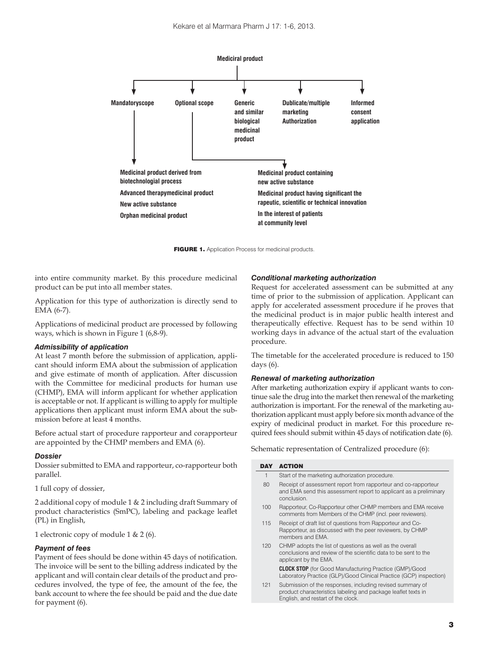

FIGURE 1. Application Process for medicinal products

into entire community market. By this procedure medicinal product can be put into all member states.

Application for this type of authorization is directly send to EMA (6-7).

Applications of medicinal product are processed by following ways, which is shown in Figure 1 (6,8-9).

#### *Admissibility of application*

At least 7 month before the submission of application, applicant should inform EMA about the submission of application and give estimate of month of application. After discussion with the Committee for medicinal products for human use (CHMP), EMA will inform applicant for whether application is acceptable or not. If applicant is willing to apply for multiple applications then applicant must inform EMA about the submission before at least 4 months.

Before actual start of procedure rapporteur and corapporteur are appointed by the CHMP members and EMA (6).

#### *Dossier*

Dossier submitted to EMA and rapporteur, co-rapporteur both parallel.

1 full copy of dossier,

2 additional copy of module 1 & 2 including draft Summary of product characteristics (SmPC), labeling and package leaflet (PL) in English,

1 electronic copy of module 1 & 2 (6).

### *Payment of fees*

Payment of fees should be done within 45 days of notification. The invoice will be sent to the billing address indicated by the applicant and will contain clear details of the product and procedures involved, the type of fee, the amount of the fee, the bank account to where the fee should be paid and the due date for payment (6).

### *Conditional marketing authorization*

Request for accelerated assessment can be submitted at any time of prior to the submission of application. Applicant can apply for accelerated assessment procedure if he proves that the medicinal product is in major public health interest and therapeutically effective. Request has to be send within 10 working days in advance of the actual start of the evaluation procedure.

The timetable for the accelerated procedure is reduced to 150 days (6).

### *Renewal of marketing authorization*

After marketing authorization expiry if applicant wants to continue sale the drug into the market then renewal of the marketing authorization is important. For the renewal of the marketing authorization applicant must apply before six month advance of the expiry of medicinal product in market. For this procedure required fees should submit within 45 days of notification date (6).

Schematic representation of Centralized procedure (6):

#### DAY ACTION

| ונע | ACIUN                                                                                                                                                |
|-----|------------------------------------------------------------------------------------------------------------------------------------------------------|
| 1   | Start of the marketing authorization procedure.                                                                                                      |
| 80  | Receipt of assessment report from rapporteur and co-rapporteur<br>and EMA send this assessment report to applicant as a preliminary<br>conclusion.   |
| 100 | Rapporteur, Co-Rapporteur other CHMP members and EMA receive<br>comments from Members of the CHMP (incl. peer reviewers).                            |
| 115 | Receipt of draft list of questions from Rapporteur and Co-<br>Rapporteur, as discussed with the peer reviewers, by CHMP<br>members and FMA           |
| 120 | CHMP adopts the list of questions as well as the overall<br>conclusions and review of the scientific data to be sent to the<br>applicant by the EMA. |
|     | <b>CLOCK STOP</b> (for Good Manufacturing Practice (GMP)/Good<br>Laboratory Practice (GLP)/Good Clinical Practice (GCP) inspection)                  |

121 Submission of the responses, including revised summary of product characteristics labeling and package leaflet texts in English, and restart of the clock.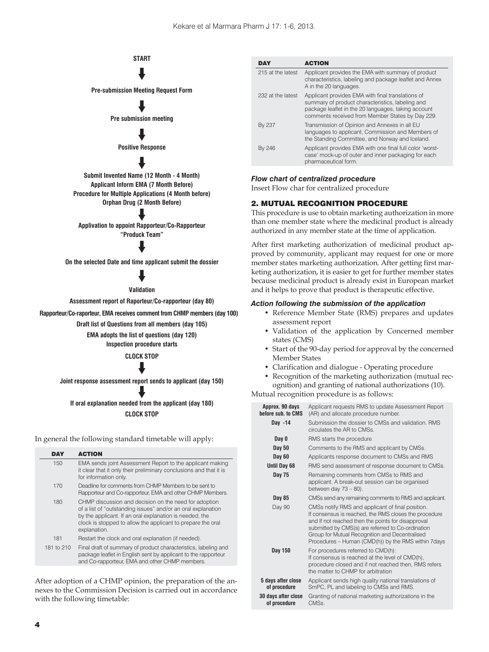### **START** ♥

**Pre-submission Meeting Request Form**

## ♥

**Pre submission meeting**

### ♥

**Positive Response**

### ♥

**Submit Invented Name (12 Month - 4 Month) Applicant Inform EMA (7 Month Before) Procedure for Multiple Applications (4 Month before) Orphan Drug (2 Month Before)**

**Applivation to appoint Rapporteur/Co-Rapporteur "Produck Team"** ♥

### ♥

**On the selected Date and time applicant submit the dossier**

### ♥

**Validation**

**Assessment report of Raporteur/Co-rapporteur (day 80)**

**Rapporteur/Co-raporteur, EMA receives comment from CHMP members (day 100)**

**Draft list of Questions from all members (day 105)**

**EMA adopts the list of questions (day 120)**

**Inspection procedure starts**

**CLOCK STOP**

**Joint response assessment report sends to applicant (day 150)** ♥

### **CLOCK STOP If oral explanation needed from the applicant (day 180)** ♥

In general the following standard timetable will apply:

| DAY        | <b>ACTION</b>                                                                                                                                                                                                                                                   |
|------------|-----------------------------------------------------------------------------------------------------------------------------------------------------------------------------------------------------------------------------------------------------------------|
| 150        | EMA sends joint Assessment Report to the applicant making<br>it clear that it only their preliminary conclusions and that it is<br>for information only.                                                                                                        |
| 170        | Deadline for comments from CHMP Members to be sent to<br>Rapporteur and Co-rapporteur, EMA and other CHMP Members.                                                                                                                                              |
| 180        | CHMP discussion and decision on the need for adoption<br>of a list of "outstanding issues" and/or an oral explanation<br>by the applicant. If an oral explanation is needed, the<br>clock is stopped to allow the applicant to prepare the oral<br>explanation. |
| 181        | Restart the clock and oral explanation (if needed).                                                                                                                                                                                                             |
| 181 to 210 | Final draft of summary of product characteristics, labeling and<br>package leaflet in English sent by applicant to the rapporteur<br>and Co-rapporteur, EMA and other CHMP members.                                                                             |
|            |                                                                                                                                                                                                                                                                 |

After adoption of a CHMP opinion, the preparation of the annexes to the Commission Decision is carried out in accordance with the following timetable:

| DAY               | <b>ACTION</b>                                                                                                                                                                                                    |
|-------------------|------------------------------------------------------------------------------------------------------------------------------------------------------------------------------------------------------------------|
| 215 at the latest | Applicant provides the EMA with summary of product<br>characteristics, labeling and package leaflet and Annex<br>A in the 20 languages.                                                                          |
| 232 at the latest | Applicant provides EMA with final translations of<br>summary of product characteristics, labeling and<br>package leaflet in the 20 languages, taking account<br>comments received from Member States by Day 229. |
| By 237            | Transmission of Opinion and Annexes in all EU<br>languages to applicant, Commission and Members of<br>the Standing Committee, and Norway and Iceland.                                                            |
| By 246            | Applicant provides EMA with one final full color 'worst-<br>case' mock-up of outer and inner packaging for each<br>pharmaceutical form.                                                                          |

### *Flow chart of centralized procedure*

Insert Flow char for centralized procedure

### 2. MUTUAL RECOGNITION PROCEDURE

This procedure is use to obtain marketing authorization in more than one member state where the medicinal product is already authorized in any member state at the time of application.

After first marketing authorization of medicinal product approved by community, applicant may request for one or more member states marketing authorization. After getting first marketing authorization, it is easier to get for further member states because medicinal product is already exist in European market and it helps to prove that product is therapeutic effective.

### *Action following the submission of the application*

- Reference Member State (RMS) prepares and updates assessment report
- Validation of the application by Concerned member states (CMS)
- Start of the 90-day period for approval by the concerned Member States
- Clarification and dialogue Operating procedure
- Recognition of the marketing authorization (mutual recognition) and granting of national authorizations (10).

Mutual recognition procedure is as follows:

| Approx. 90 days<br>hefore sub, to CMS | Applicant requests RMS to update Assessment Report<br>(AR) and allocate procedure number.                                                                                                                                                                                                                                     |
|---------------------------------------|-------------------------------------------------------------------------------------------------------------------------------------------------------------------------------------------------------------------------------------------------------------------------------------------------------------------------------|
| Day -14                               | Submission the dossier to CMSs and validation. RMS<br>circulates the AR to CMSs.                                                                                                                                                                                                                                              |
| Day 0                                 | RMS starts the procedure                                                                                                                                                                                                                                                                                                      |
| Day 50                                | Comments to the RMS and applicant by CMSs.                                                                                                                                                                                                                                                                                    |
| Day 60                                | Applicants response document to CMSs and RMS                                                                                                                                                                                                                                                                                  |
| <b>Until Day 68</b>                   | RMS send assessment of response document to CMSs.                                                                                                                                                                                                                                                                             |
| Day 75                                | Remaining comments from CMSs to RMS and<br>applicant. A break-out session can be organised<br>between day $73 - 80$ ).                                                                                                                                                                                                        |
| Day 85                                | CMSs send any remaining comments to RMS and applicant.                                                                                                                                                                                                                                                                        |
| Day 90                                | CMSs notify RMS and applicant of final position.<br>If consensus is reached, the RMS closes the procedure<br>and If not reached then the points for disapproval<br>submitted by CMS(s) are referred to Co-ordination<br>Group for Mutual Recognition and Decentralised<br>Procedures - Human (CMD(h)) by the RMS within 7days |
| Day 150                               | For procedures referred to CMD(h):<br>If consensus is reached at the level of CMD(h),<br>procedure closed and if not reached then, RMS refers<br>the matter to CHMP for arbitration                                                                                                                                           |
| 5 days after close<br>of procedure    | Applicant sends high quality national translations of<br>SmPC, PL and labeling to CMSs and RMS.                                                                                                                                                                                                                               |
| 30 days after close<br>of procedure   | Granting of national marketing authorizations in the<br>CMSs.                                                                                                                                                                                                                                                                 |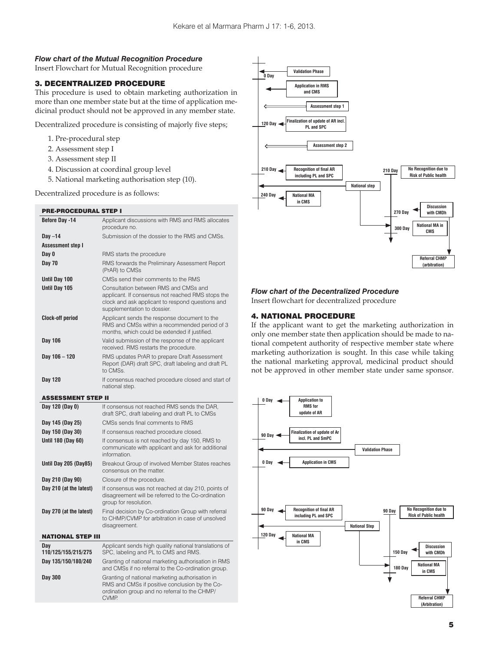### *Flow chart of the Mutual Recognition Procedure*

Insert Flowchart for Mutual Recognition procedure

### 3. DECENTRALIZED PROCEDURE

This procedure is used to obtain marketing authorization in more than one member state but at the time of application medicinal product should not be approved in any member state.

Decentralized procedure is consisting of majorly five steps;

- 1. Pre-procedural step
- 2. Assessment step I
- 3. Assessment step II
- 4. Discussion at coordinal group level
- 5. National marketing authorisation step (10).

Decentralized procedure is as follows:

| <b>Before Day -14</b>      | Applicant discussions with RMS and RMS allocates<br>procedure no.                                                                                                             |
|----------------------------|-------------------------------------------------------------------------------------------------------------------------------------------------------------------------------|
| Day $-14$                  | Submission of the dossier to the RMS and CMSs.                                                                                                                                |
| <b>Assessment step I</b>   |                                                                                                                                                                               |
| Day 0                      | RMS starts the procedure                                                                                                                                                      |
| <b>Day 70</b>              | RMS forwards the Preliminary Assessment Report<br>(PrAR) to CMSs                                                                                                              |
| Until Day 100              | CMSs send their comments to the RMS                                                                                                                                           |
| Until Day 105              | Consultation between RMS and CMSs and<br>applicant. If consensus not reached RMS stops the<br>clock and ask applicant to respond questions and<br>supplementation to dossier. |
| <b>Clock-off period</b>    | Applicant sends the response document to the<br>RMS and CMSs within a recommended period of 3<br>months, which could be extended if justified.                                |
| Day 106                    | Valid submission of the response of the applicant<br>received. RMS restarts the procedure.                                                                                    |
| Day 106 - 120              | RMS updates PrAR to prepare Draft Assessment<br>Report (DAR) draft SPC, draft labeling and draft PL<br>to CMSs.                                                               |
| Day 120                    | If consensus reached procedure closed and start of<br>national step.                                                                                                          |
| <b>ASSESSMENT STEP II</b>  |                                                                                                                                                                               |
| Day 120 (Day 0)            | If consensus not reached RMS sends the DAR,                                                                                                                                   |
|                            | draft SPC, draft labeling and draft PL to CMSs                                                                                                                                |
| Day 145 (Day 25)           | CMSs sends final comments to RMS                                                                                                                                              |
| Day 150 (Day 30)           | If consensus reached procedure closed.                                                                                                                                        |
| Until 180 (Day 60)         | If consensus is not reached by day 150, RMS to<br>communicate with applicant and ask for additional<br>information.                                                           |
| Until Day 205 (Day85)      | Breakout Group of involved Member States reaches<br>consensus on the matter.                                                                                                  |
| Day 210 (Day 90)           | Closure of the procedure.                                                                                                                                                     |
| Day 210 (at the latest)    | If consensus was not reached at day 210, points of<br>disagreement will be referred to the Co-ordination<br>group for resolution.                                             |
| Day 270 (at the latest)    | Final decision by Co-ordination Group with referral<br>to CHMP/CVMP for arbitration in case of unsolved<br>disagreement.                                                      |
| <b>NATIONAL STEP III</b>   |                                                                                                                                                                               |
| Dav<br>110/125/155/215/275 | Applicant sends high quality national translations of<br>SPC, labeling and PL to CMS and RMS.                                                                                 |
| Day 135/150/180/240        | Granting of national marketing authorisation in RMS<br>and CMSs if no referral to the Co-ordination group.                                                                    |

CVMP.



### *Flow chart of the Decentralized Procedure*

Insert flowchart for decentralized procedure

### 4. NATIONAL PROCEDURE

If the applicant want to get the marketing authorization in only one member state then application should be made to national competent authority of respective member state where marketing authorization is sought. In this case while taking the national marketing approval, medicinal product should not be approved in other member state under same sponsor.